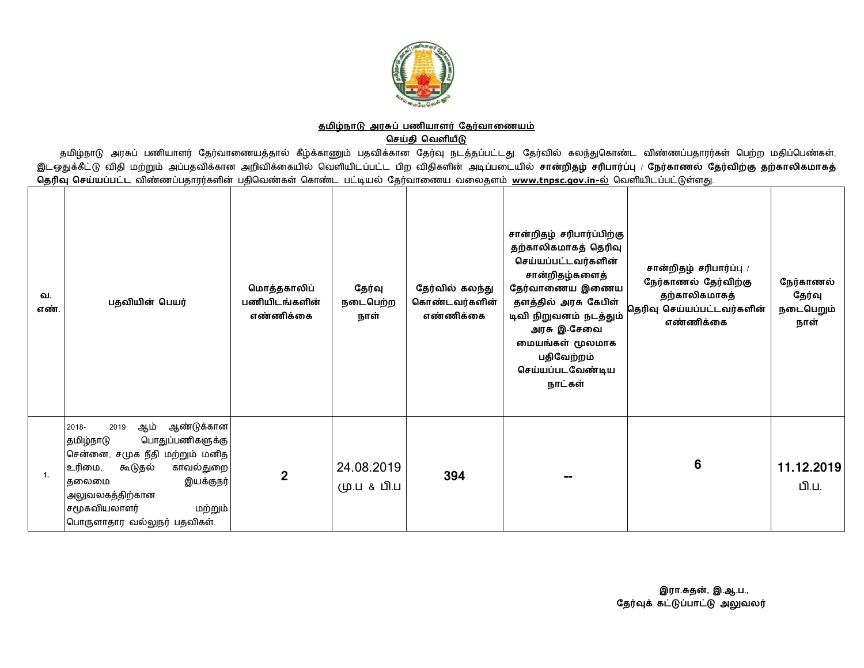

## <u>தமிழ்நாடு அரசுப் பணியாளர் தேர்வாணையம்</u> **ெசதி ெவளய**

தமிழ்நாடு அரசுப் பணியாளர் தேர்வாணையத்தால் கீழ்க்காணும் பதவிக்கான தேர்வு நடத்தப்பட்டது. தேர்வில் கலந்துகொண்ட விண்ணப்பதாரர்கள் பெற்ற மதிப்பெண்கள், இடஒதுக்கீட்டு விதி மற்றும் அப்பதவிக்கான அறிவிக்கையில் வெளியிடப்பட்ட பிற விதிகளின் அடிப்படையில் சான்றிதழ் சரிபார்ப்பு / நேர்காணல் தேர்விற்கு தற்காலிகமாகத் <mark>தெரிவு செய்யப்பட்ட</mark> விண்ணப்பதாரர்களின் பதிவெண்கள் கொண்ட பட்டியல் தேர்வாணைய வலைதளம் <u>[www.tnpsc.gov.in-](http://www.tnpsc.gov.in-)ல்</u> வெளியிடப்பட்டுள்ளது.

| வ.<br>எண். | பதவியின் பெயர்                                                                                                                                                                                                                               | மொத்தகாலிப்<br>பணியிடங்களின்<br>எண்ணிக்கை | தேர்வு<br>நடைபெற்ற<br>நாள் | தேர்வில் கலந்து<br>கொண்டவர்களின்<br>எண்ணிக்கை | சான்றிதழ் சரிபார்ப்பிற்கு<br>தற்காலிகமாகத் தெரிவு<br>செய்யப்பட்டவர்களின்<br>சான்றிதழ்களைத்<br>தேர்வாணைய இணைய<br>தளத்தில் அரசு கேபிள்<br>டிவி நிறுவனம் நடத்தும்<br>அரசு இ-சேவை<br>மையங்கள் மூலமாக<br>பதிவேற்றம்<br>செய்யப்படவேண்டிய<br>நாட்கள் | சான்றிதழ் சரிபார்ப்பு /<br>நேர்காணல் தேர்விற்கு<br>தற்காலிகமாகத்<br>தெரிவு செய்யப்பட்டவர்களின்<br>எண்ணிக்கை | நேர்காணல்<br>தேர்வு<br>நடைபெறும்<br>நாள் |
|------------|----------------------------------------------------------------------------------------------------------------------------------------------------------------------------------------------------------------------------------------------|-------------------------------------------|----------------------------|-----------------------------------------------|-----------------------------------------------------------------------------------------------------------------------------------------------------------------------------------------------------------------------------------------------|-------------------------------------------------------------------------------------------------------------|------------------------------------------|
| 1.         | ஆண்டுக்கான<br>ஆம்<br>2019<br>2018-<br>பொதுப்பணிகளுக்கு<br> தமிழ்நாடு<br>சென்னை, சமுக நீதி மற்றும் மனித<br> உரிமை,<br>காவல்துறை<br>கூடுதல்<br>இயக்குநர்<br>கலைமை<br>அலுவலகத்திற்கான<br>சமூகவியலாளர்<br>மற்றும்<br>பொருளாதார வல்லுநர் பதவிகள். | $\overline{2}$                            | 24.08.2019<br>மு.ப & பி.ப  | 394                                           |                                                                                                                                                                                                                                               | 6                                                                                                           | 11.12.2019<br>பி.ப.                      |